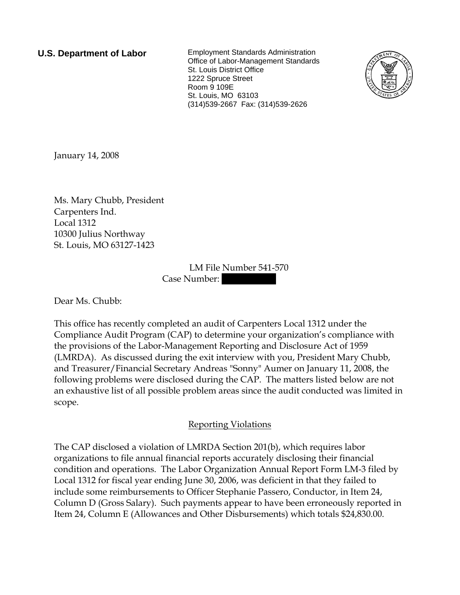**U.S. Department of Labor** Employment Standards Administration Office of Labor-Management Standards St. Louis District Office 1222 Spruce Street Room 9 109E St. Louis, MO 63103 (314)539-2667 Fax: (314)539-2626



January 14, 2008

Ms. Mary Chubb, President Carpenters Ind. Local 1312 10300 Julius Northway St. Louis, MO 63127-1423

> LM File Number 541-570 Case Number:

Dear Ms. Chubb:

This office has recently completed an audit of Carpenters Local 1312 under the Compliance Audit Program (CAP) to determine your organization's compliance with the provisions of the Labor-Management Reporting and Disclosure Act of 1959 (LMRDA). As discussed during the exit interview with you, President Mary Chubb, and Treasurer/Financial Secretary Andreas "Sonny" Aumer on January 11, 2008, the following problems were disclosed during the CAP. The matters listed below are not an exhaustive list of all possible problem areas since the audit conducted was limited in scope.

## Reporting Violations

The CAP disclosed a violation of LMRDA Section 201(b), which requires labor organizations to file annual financial reports accurately disclosing their financial condition and operations. The Labor Organization Annual Report Form LM-3 filed by Local 1312 for fiscal year ending June 30, 2006, was deficient in that they failed to include some reimbursements to Officer Stephanie Passero, Conductor, in Item 24, Column D (Gross Salary). Such payments appear to have been erroneously reported in Item 24, Column E (Allowances and Other Disbursements) which totals \$24,830.00.